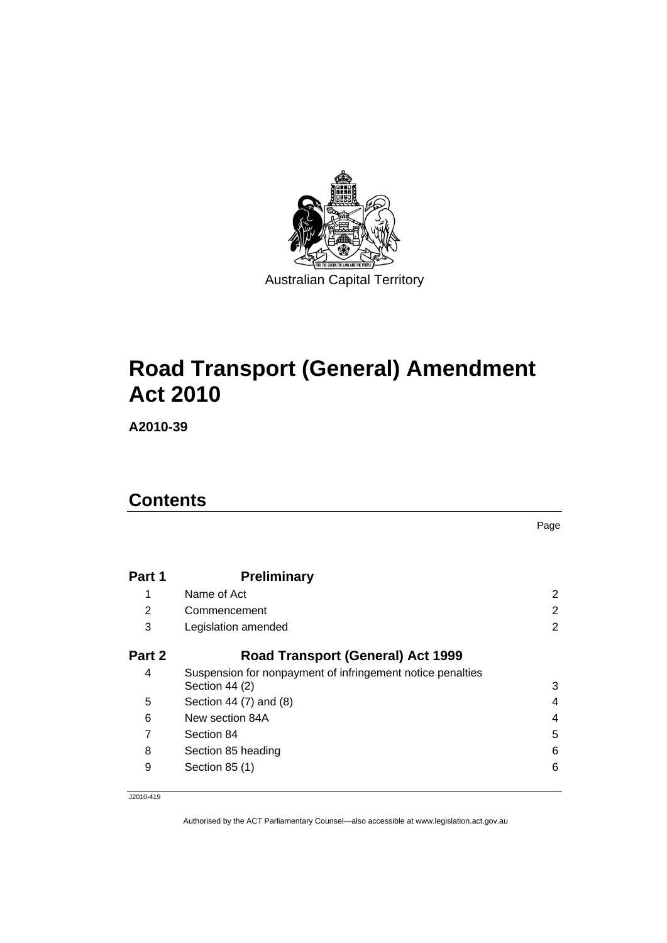

# **[Road Transport \(General\) Amendment](#page-2-0)  [Act 2010](#page-2-0)**

**A2010-39** 

# **Contents**

|        |                                                                              | Page           |
|--------|------------------------------------------------------------------------------|----------------|
| Part 1 | <b>Preliminary</b>                                                           |                |
| 1      | Name of Act                                                                  | 2              |
| 2      | Commencement                                                                 | 2              |
| 3      | Legislation amended                                                          | $\overline{2}$ |
| Part 2 | <b>Road Transport (General) Act 1999</b>                                     |                |
| 4      | Suspension for nonpayment of infringement notice penalties<br>Section 44 (2) | 3              |
| 5      |                                                                              |                |
|        | Section 44 (7) and (8)                                                       | 4              |
| 6      | New section 84A                                                              | 4              |
| 7      | Section 84                                                                   | 5              |
| 8      | Section 85 heading                                                           | 6              |
| 9      | Section 85 (1)                                                               | 6              |

J2010-419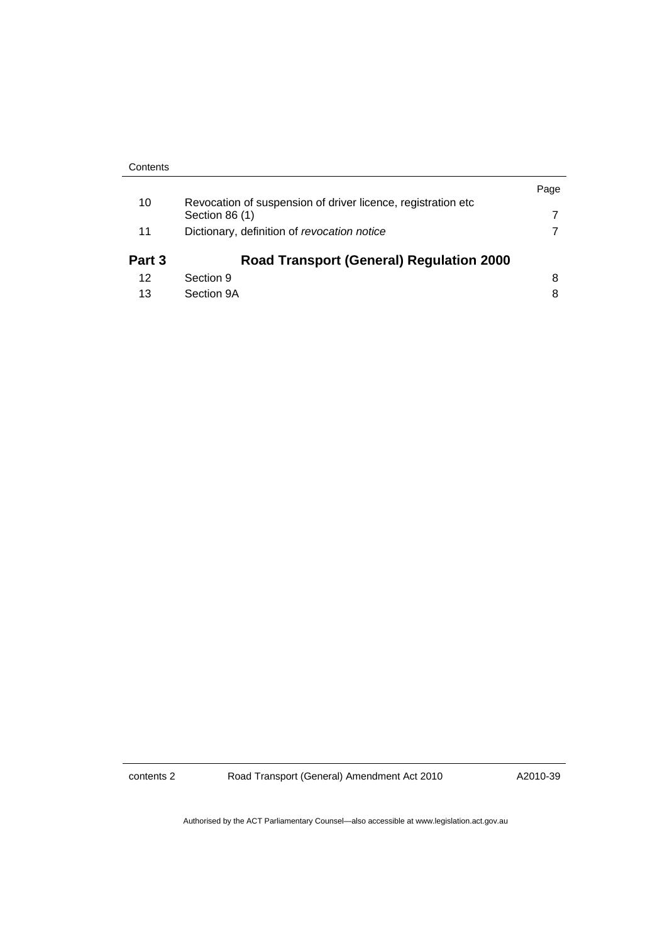|                                                               | Page |
|---------------------------------------------------------------|------|
| Revocation of suspension of driver licence, registration etc. |      |
| Section 86 (1)                                                |      |
| Dictionary, definition of revocation notice                   |      |
| <b>Road Transport (General) Regulation 2000</b>               |      |
| Section 9                                                     | 8    |
| Section 9A                                                    | 8    |
|                                                               |      |

contents 2 Road Transport (General) Amendment Act 2010

A2010-39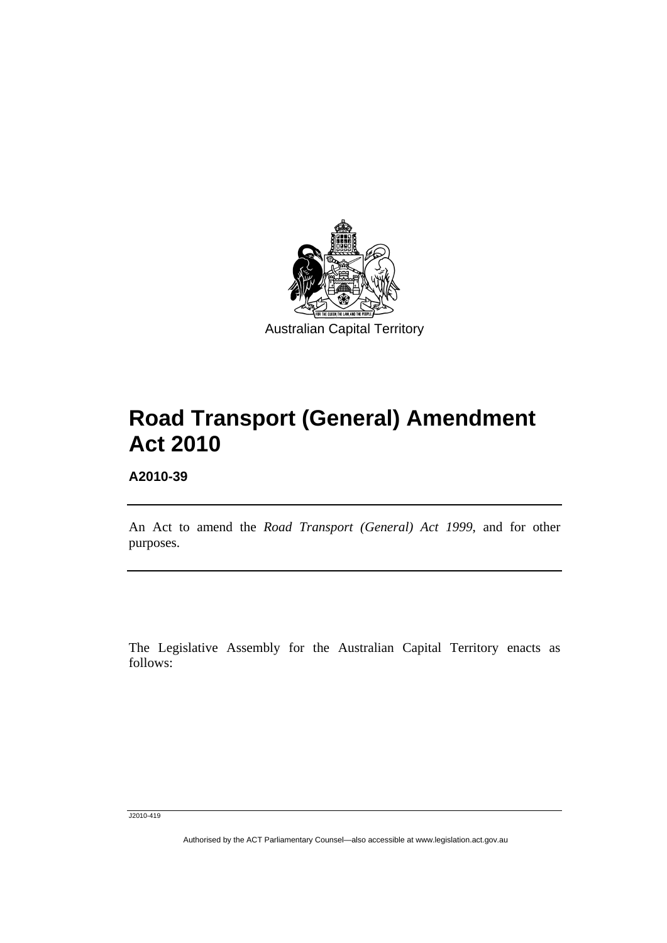<span id="page-2-0"></span>

# **Road Transport (General) Amendment Act 2010**

**A2010-39** 

l

An Act to amend the *Road Transport (General) Act 1999*, and for other purposes.

The Legislative Assembly for the Australian Capital Territory enacts as follows:

J2010-419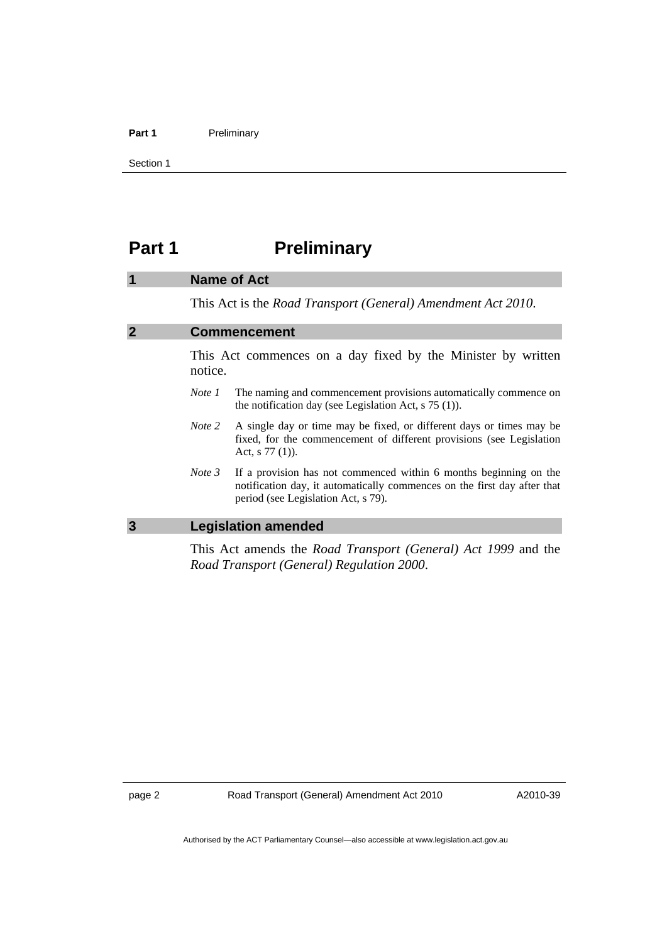#### <span id="page-3-0"></span>Part 1 **Preliminary**

Section 1

# **Part 1** Preliminary

#### **1 Name of Act**

This Act is the *Road Transport (General) Amendment Act 2010*.

## **2 Commencement**

This Act commences on a day fixed by the Minister by written notice.

- *Note 1* The naming and commencement provisions automatically commence on the notification day (see Legislation Act, s 75 (1)).
- *Note 2* A single day or time may be fixed, or different days or times may be fixed, for the commencement of different provisions (see Legislation Act, s 77 (1)).
- *Note 3* If a provision has not commenced within 6 months beginning on the notification day, it automatically commences on the first day after that period (see Legislation Act, s 79).

#### **3 Legislation amended**

This Act amends the *Road Transport (General) Act 1999* and the *Road Transport (General) Regulation 2000*.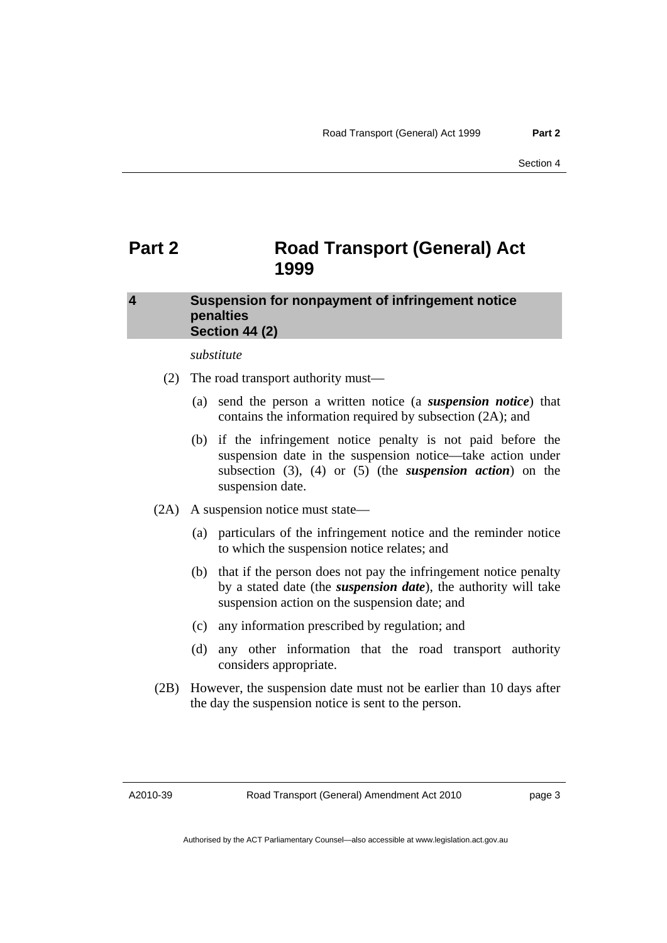# <span id="page-4-0"></span>**Part 2 Road Transport (General) Act 1999**

## **4 Suspension for nonpayment of infringement notice penalties Section 44 (2)**

*substitute* 

- (2) The road transport authority must—
	- (a) send the person a written notice (a *suspension notice*) that contains the information required by subsection (2A); and
	- (b) if the infringement notice penalty is not paid before the suspension date in the suspension notice—take action under subsection (3), (4) or (5) (the *suspension action*) on the suspension date.
- (2A) A suspension notice must state—
	- (a) particulars of the infringement notice and the reminder notice to which the suspension notice relates; and
	- (b) that if the person does not pay the infringement notice penalty by a stated date (the *suspension date*), the authority will take suspension action on the suspension date; and
	- (c) any information prescribed by regulation; and
	- (d) any other information that the road transport authority considers appropriate.
- (2B) However, the suspension date must not be earlier than 10 days after the day the suspension notice is sent to the person.

A2010-39

page 3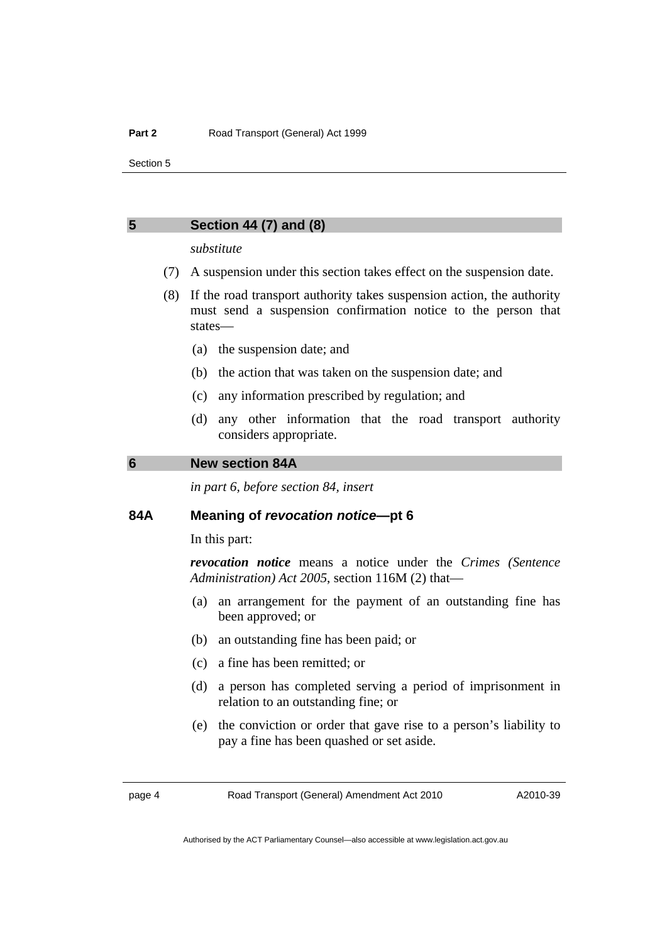# <span id="page-5-0"></span>**5 Section 44 (7) and (8)**

#### *substitute*

- (7) A suspension under this section takes effect on the suspension date.
- (8) If the road transport authority takes suspension action, the authority must send a suspension confirmation notice to the person that states—
	- (a) the suspension date; and
	- (b) the action that was taken on the suspension date; and
	- (c) any information prescribed by regulation; and
	- (d) any other information that the road transport authority considers appropriate.

#### **6 New section 84A**

*in part 6, before section 84, insert* 

#### **84A Meaning of** *revocation notice***—pt 6**

In this part:

*revocation notice* means a notice under the *Crimes (Sentence Administration) Act 2005*, section 116M (2) that—

- (a) an arrangement for the payment of an outstanding fine has been approved; or
- (b) an outstanding fine has been paid; or
- (c) a fine has been remitted; or
- (d) a person has completed serving a period of imprisonment in relation to an outstanding fine; or
- (e) the conviction or order that gave rise to a person's liability to pay a fine has been quashed or set aside.

page 4 Road Transport (General) Amendment Act 2010

Authorised by the ACT Parliamentary Counsel—also accessible at www.legislation.act.gov.au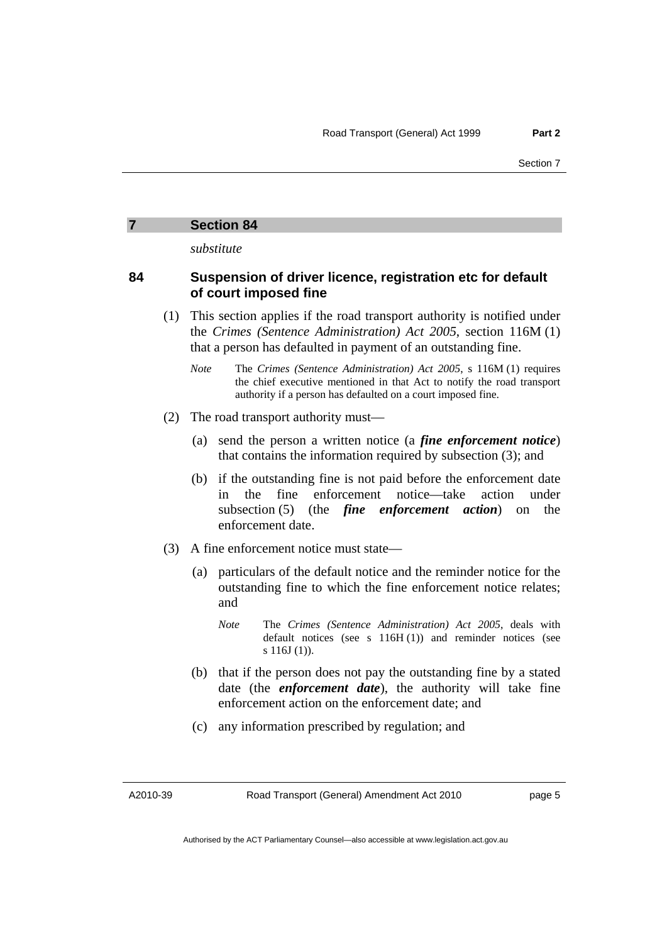*substitute* 

#### <span id="page-6-0"></span>**84 Suspension of driver licence, registration etc for default of court imposed fine**

- (1) This section applies if the road transport authority is notified under the *Crimes (Sentence Administration) Act 2005*, section 116M (1) that a person has defaulted in payment of an outstanding fine.
	- *Note* The *Crimes (Sentence Administration) Act 2005*, s 116M (1) requires the chief executive mentioned in that Act to notify the road transport authority if a person has defaulted on a court imposed fine.
- (2) The road transport authority must—
	- (a) send the person a written notice (a *fine enforcement notice*) that contains the information required by subsection (3); and
	- (b) if the outstanding fine is not paid before the enforcement date in the fine enforcement notice—take action under subsection (5) (the *fine enforcement action*) on the enforcement date.
- (3) A fine enforcement notice must state—
	- (a) particulars of the default notice and the reminder notice for the outstanding fine to which the fine enforcement notice relates; and
		- *Note* The *Crimes (Sentence Administration) Act 2005*, deals with default notices (see s 116H (1)) and reminder notices (see s 116J (1)).
	- (b) that if the person does not pay the outstanding fine by a stated date (the *enforcement date*), the authority will take fine enforcement action on the enforcement date; and
	- (c) any information prescribed by regulation; and

A2010-39

page 5

Authorised by the ACT Parliamentary Counsel—also accessible at www.legislation.act.gov.au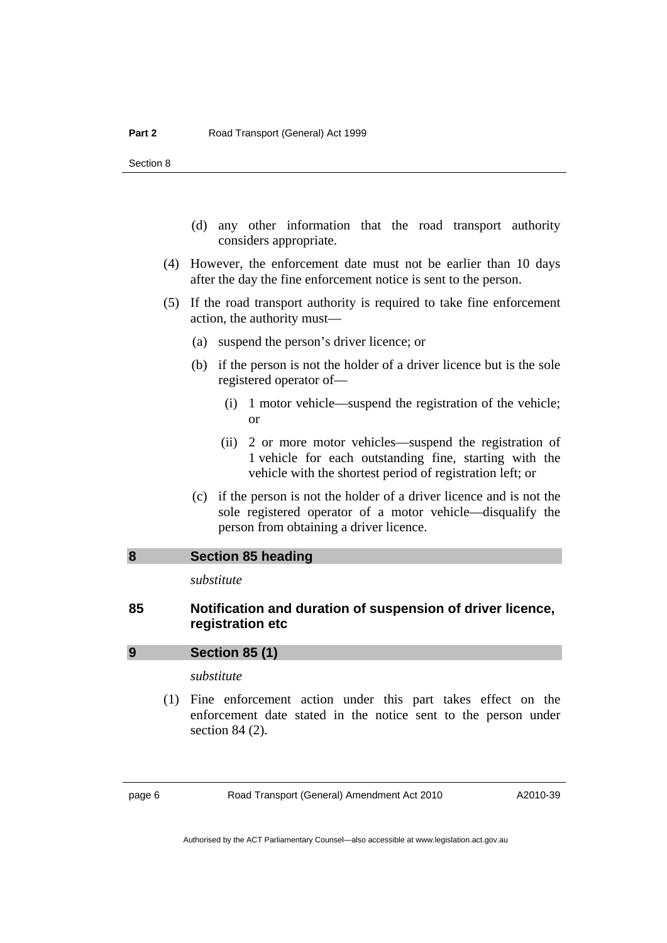- <span id="page-7-0"></span> (d) any other information that the road transport authority considers appropriate.
- (4) However, the enforcement date must not be earlier than 10 days after the day the fine enforcement notice is sent to the person.
- (5) If the road transport authority is required to take fine enforcement action, the authority must—
	- (a) suspend the person's driver licence; or
	- (b) if the person is not the holder of a driver licence but is the sole registered operator of—
		- (i) 1 motor vehicle—suspend the registration of the vehicle; or
		- (ii) 2 or more motor vehicles—suspend the registration of 1 vehicle for each outstanding fine, starting with the vehicle with the shortest period of registration left; or
	- (c) if the person is not the holder of a driver licence and is not the sole registered operator of a motor vehicle—disqualify the person from obtaining a driver licence.

#### **8 Section 85 heading**

*substitute* 

#### **85 Notification and duration of suspension of driver licence, registration etc**

#### **9 Section 85 (1)**

*substitute* 

 (1) Fine enforcement action under this part takes effect on the enforcement date stated in the notice sent to the person under section 84 (2).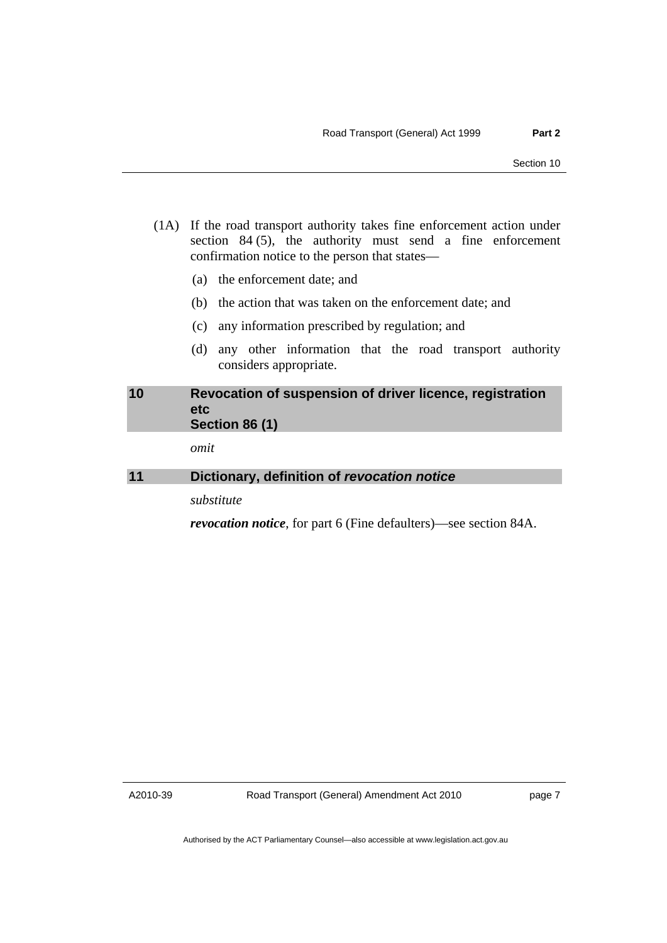- <span id="page-8-0"></span> (1A) If the road transport authority takes fine enforcement action under section 84 (5), the authority must send a fine enforcement confirmation notice to the person that states—
	- (a) the enforcement date; and
	- (b) the action that was taken on the enforcement date; and
	- (c) any information prescribed by regulation; and
	- (d) any other information that the road transport authority considers appropriate.

# **10 Revocation of suspension of driver licence, registration etc Section 86 (1)**

*omit* 

# **11 Dictionary, definition of** *revocation notice*

*substitute* 

*revocation notice*, for part 6 (Fine defaulters)—see section 84A.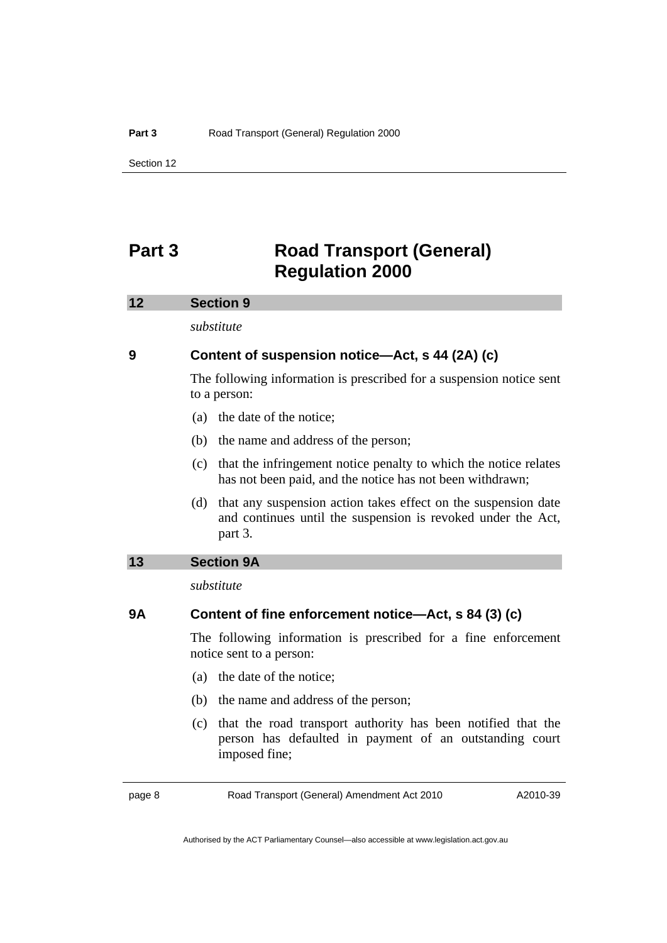# <span id="page-9-0"></span>**Part 3 Road Transport (General) Regulation 2000**

#### **12 Section 9**

*substitute* 

## **9 Content of suspension notice—Act, s 44 (2A) (c)**

The following information is prescribed for a suspension notice sent to a person:

- (a) the date of the notice;
- (b) the name and address of the person;
- (c) that the infringement notice penalty to which the notice relates has not been paid, and the notice has not been withdrawn;
- (d) that any suspension action takes effect on the suspension date and continues until the suspension is revoked under the Act, part 3.

### **13 Section 9A**

*substitute* 

## **9A Content of fine enforcement notice—Act, s 84 (3) (c)**

The following information is prescribed for a fine enforcement notice sent to a person:

- (a) the date of the notice;
- (b) the name and address of the person;
- (c) that the road transport authority has been notified that the person has defaulted in payment of an outstanding court imposed fine;

page 8 Road Transport (General) Amendment Act 2010